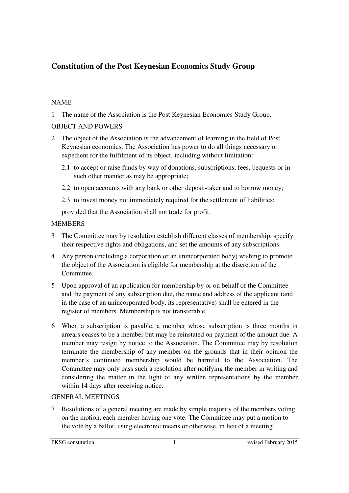# **Constitution of the Post Keynesian Economics Study Group**

# NAME

1 The name of the Association is the Post Keynesian Economics Study Group.

# OBJECT AND POWERS

- 2 The object of the Association is the advancement of learning in the field of Post Keynesian economics. The Association has power to do all things necessary or expedient for the fulfilment of its object, including without limitation:
	- 2.1 to accept or raise funds by way of donations, subscriptions, fees, bequests or in such other manner as may be appropriate;
	- 2.2 to open accounts with any bank or other deposit-taker and to borrow money;
	- 2.3 to invest money not immediately required for the settlement of liabilities;

provided that the Association shall not trade for profit.

# **MEMBERS**

- 3 The Committee may by resolution establish different classes of membership, specify their respective rights and obligations, and set the amounts of any subscriptions.
- 4 Any person (including a corporation or an unincorporated body) wishing to promote the object of the Association is eligible for membership at the discretion of the Committee.
- 5 Upon approval of an application for membership by or on behalf of the Committee and the payment of any subscription due, the name and address of the applicant (and in the case of an unincorporated body, its representative) shall be entered in the register of members. Membership is not transferable.
- 6 When a subscription is payable, a member whose subscription is three months in arrears ceases to be a member but may be reinstated on payment of the amount due. A member may resign by notice to the Association. The Committee may by resolution terminate the membership of any member on the grounds that in their opinion the member's continued membership would be harmful to the Association. The Committee may only pass such a resolution after notifying the member in writing and considering the matter in the light of any written representations by the member within 14 days after receiving notice.

## GENERAL MEETINGS

7 Resolutions of a general meeting are made by simple majority of the members voting on the motion, each member having one vote. The Committee may put a motion to the vote by a ballot, using electronic means or otherwise, in lieu of a meeting.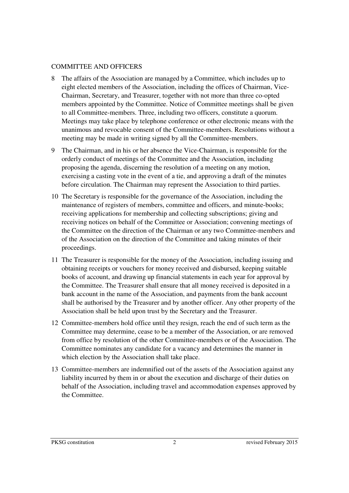#### COMMITTEE AND OFFICERS

- 8 The affairs of the Association are managed by a Committee, which includes up to eight elected members of the Association, including the offices of Chairman, Vice-Chairman, Secretary, and Treasurer, together with not more than three co-opted members appointed by the Committee. Notice of Committee meetings shall be given to all Committee-members. Three, including two officers, constitute a quorum. Meetings may take place by telephone conference or other electronic means with the unanimous and revocable consent of the Committee-members. Resolutions without a meeting may be made in writing signed by all the Committee-members.
- 9 The Chairman, and in his or her absence the Vice-Chairman, is responsible for the orderly conduct of meetings of the Committee and the Association, including proposing the agenda, discerning the resolution of a meeting on any motion, exercising a casting vote in the event of a tie, and approving a draft of the minutes before circulation. The Chairman may represent the Association to third parties.
- 10 The Secretary is responsible for the governance of the Association, including the maintenance of registers of members, committee and officers, and minute-books; receiving applications for membership and collecting subscriptions; giving and receiving notices on behalf of the Committee or Association; convening meetings of the Committee on the direction of the Chairman or any two Committee-members and of the Association on the direction of the Committee and taking minutes of their proceedings.
- 11 The Treasurer is responsible for the money of the Association, including issuing and obtaining receipts or vouchers for money received and disbursed, keeping suitable books of account, and drawing up financial statements in each year for approval by the Committee. The Treasurer shall ensure that all money received is deposited in a bank account in the name of the Association, and payments from the bank account shall be authorised by the Treasurer and by another officer. Any other property of the Association shall be held upon trust by the Secretary and the Treasurer.
- 12 Committee-members hold office until they resign, reach the end of such term as the Committee may determine, cease to be a member of the Association, or are removed from office by resolution of the other Committee-members or of the Association. The Committee nominates any candidate for a vacancy and determines the manner in which election by the Association shall take place.
- 13 Committee-members are indemnified out of the assets of the Association against any liability incurred by them in or about the execution and discharge of their duties on behalf of the Association, including travel and accommodation expenses approved by the Committee.